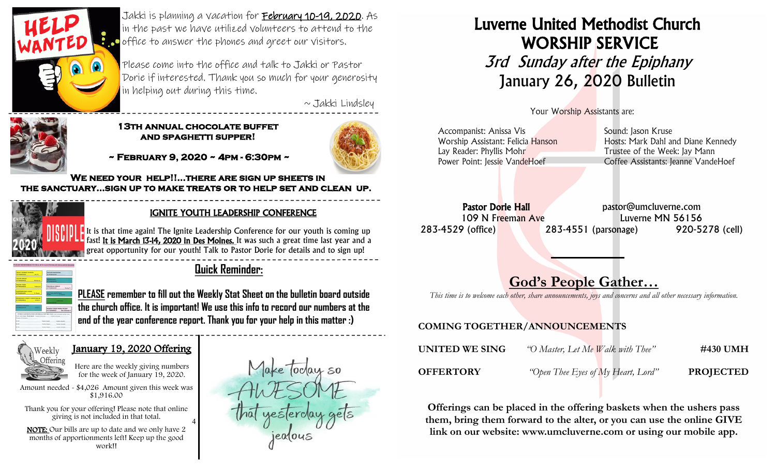

Jakki is planning a vacation for February 10-19, 2020. As in the past we have utilized volunteers to attend to the **C** office to answer the phones and greet our visitors.

Please come into the office and talk to Jakki or Pastor Dorie if interested. Thank you so much for your generosity in helping out during this time.

 $\sim$  Jakki Lindsley



#### **13th annual chocolate buffet and spaghetti supper!**



 **~ February 9, 2020 ~ 4pm - 6:30pm ~** 

**We need your help!!...there are sign up sheets in the sanctuary...sign up to make treats or to help set and clean up.**  $\overline{\phantom{a}}$ 

4



#### IGNITE YOUTH LEADERSHIP CONFERENCE

It is that time again! The Ignite Leadership Conference for our youth is coming up fast! It is March 13-14, 2020 in Des Moines. It was such a great time last year and a great opportunity for our youth! Talk to Pastor Dorie for details and to sign up!



### **Quick Reminder:**

**PLEASE remember to fill out the Weekly Stat Sheet on the bulletin board outside the church office. It is important! We use this info to record our numbers at the end of the year conference report. Thank you for your help in this matter :)**



### January 19, 2020 Offering



Amount needed - \$4,026 Amount given this week was \$1,916.00

 Thank you for your offering! Please note that online giving is not included in that total.

 NOTE: Our bills are up to date and we only have 2 months of apportionments left! Keep up the good work!!



# Luverne United Methodist Church WORSHIP SERVICE **3rd Sunday after the Epiphany** January 26, 2020 Bulletin

Your Worship Assistants are:

| Accompanist: Anissa Vis           | Sound: Jason Kruse                  |
|-----------------------------------|-------------------------------------|
| Worship Assistant: Felicia Hanson | Hosts: Mark Dahl and Diane Kennedy  |
| Lay Reader: Phyllis Mohr          | Trustee of the Week: Jay Mann       |
| Power Point: Jessie VandeHoef     | Coffee Assistants: Jeanne VandeHoef |
|                                   |                                     |

Pastor Dorie Hall **Pastor** pastor@umcluverne.com 109 N Freeman Ave Luverne MN 56156 283-4529 (office) 283-4551 (parsonage) 920-5278 (cell)

## God's People Gather…

*This time is to welcome each other, share announcements, joys and concerns and all other necessary information.*

### COMING TOGETHER/ANNOUNCEMENTS

| UNITED WE SING   | "O Master, Let Me Walk with Thee"  | #430 UMH         |
|------------------|------------------------------------|------------------|
| <b>OFFERTORY</b> | "Open Thee Eyes of My Heart, Lord" | <b>PROJECTED</b> |

Offerings can be placed in the offering baskets when the ushers pass them, bring them forward to the alter, or you can use the online GIVE link on our website: www.umcluverne.com or using our mobile app.